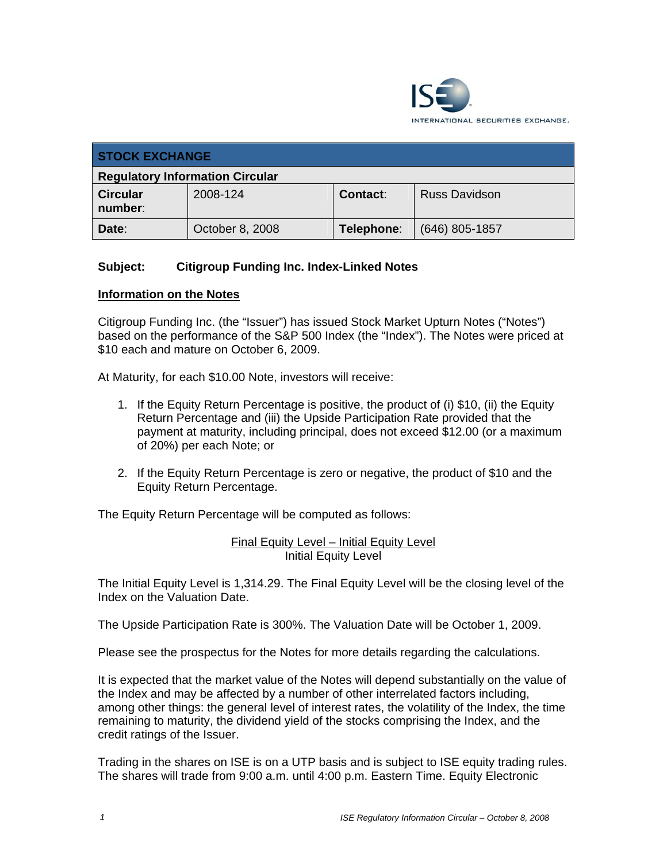

| <b>STOCK EXCHANGE</b>                  |                 |            |                      |
|----------------------------------------|-----------------|------------|----------------------|
| <b>Regulatory Information Circular</b> |                 |            |                      |
| <b>Circular</b><br>number:             | 2008-124        | Contact:   | <b>Russ Davidson</b> |
| Date:                                  | October 8, 2008 | Telephone: | $(646)$ 805-1857     |

## **Subject: Citigroup Funding Inc. Index-Linked Notes**

#### **Information on the Notes**

Citigroup Funding Inc. (the "Issuer") has issued Stock Market Upturn Notes ("Notes") based on the performance of the S&P 500 Index (the "Index"). The Notes were priced at \$10 each and mature on October 6, 2009.

At Maturity, for each \$10.00 Note, investors will receive:

- 1. If the Equity Return Percentage is positive, the product of (i) \$10, (ii) the Equity Return Percentage and (iii) the Upside Participation Rate provided that the payment at maturity, including principal, does not exceed \$12.00 (or a maximum of 20%) per each Note; or
- 2. If the Equity Return Percentage is zero or negative, the product of \$10 and the Equity Return Percentage.

The Equity Return Percentage will be computed as follows:

Final Equity Level – Initial Equity Level Initial Equity Level

The Initial Equity Level is 1,314.29. The Final Equity Level will be the closing level of the Index on the Valuation Date.

The Upside Participation Rate is 300%. The Valuation Date will be October 1, 2009.

Please see the prospectus for the Notes for more details regarding the calculations.

It is expected that the market value of the Notes will depend substantially on the value of the Index and may be affected by a number of other interrelated factors including, among other things: the general level of interest rates, the volatility of the Index, the time remaining to maturity, the dividend yield of the stocks comprising the Index, and the credit ratings of the Issuer.

Trading in the shares on ISE is on a UTP basis and is subject to ISE equity trading rules. The shares will trade from 9:00 a.m. until 4:00 p.m. Eastern Time. Equity Electronic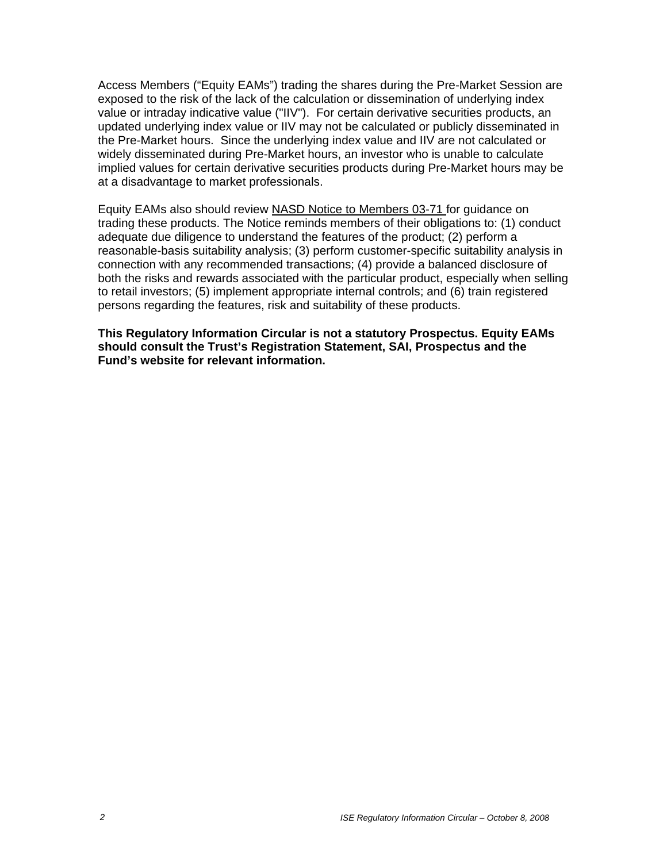Access Members ("Equity EAMs") trading the shares during the Pre-Market Session are exposed to the risk of the lack of the calculation or dissemination of underlying index value or intraday indicative value ("IIV"). For certain derivative securities products, an updated underlying index value or IIV may not be calculated or publicly disseminated in the Pre-Market hours. Since the underlying index value and IIV are not calculated or widely disseminated during Pre-Market hours, an investor who is unable to calculate implied values for certain derivative securities products during Pre-Market hours may be at a disadvantage to market professionals.

Equity EAMs also should review NASD Notice to Members 03-71 for guidance on trading these products. The Notice reminds members of their obligations to: (1) conduct adequate due diligence to understand the features of the product; (2) perform a reasonable-basis suitability analysis; (3) perform customer-specific suitability analysis in connection with any recommended transactions; (4) provide a balanced disclosure of both the risks and rewards associated with the particular product, especially when selling to retail investors; (5) implement appropriate internal controls; and (6) train registered persons regarding the features, risk and suitability of these products.

**This Regulatory Information Circular is not a statutory Prospectus. Equity EAMs should consult the Trust's Registration Statement, SAI, Prospectus and the Fund's website for relevant information.**